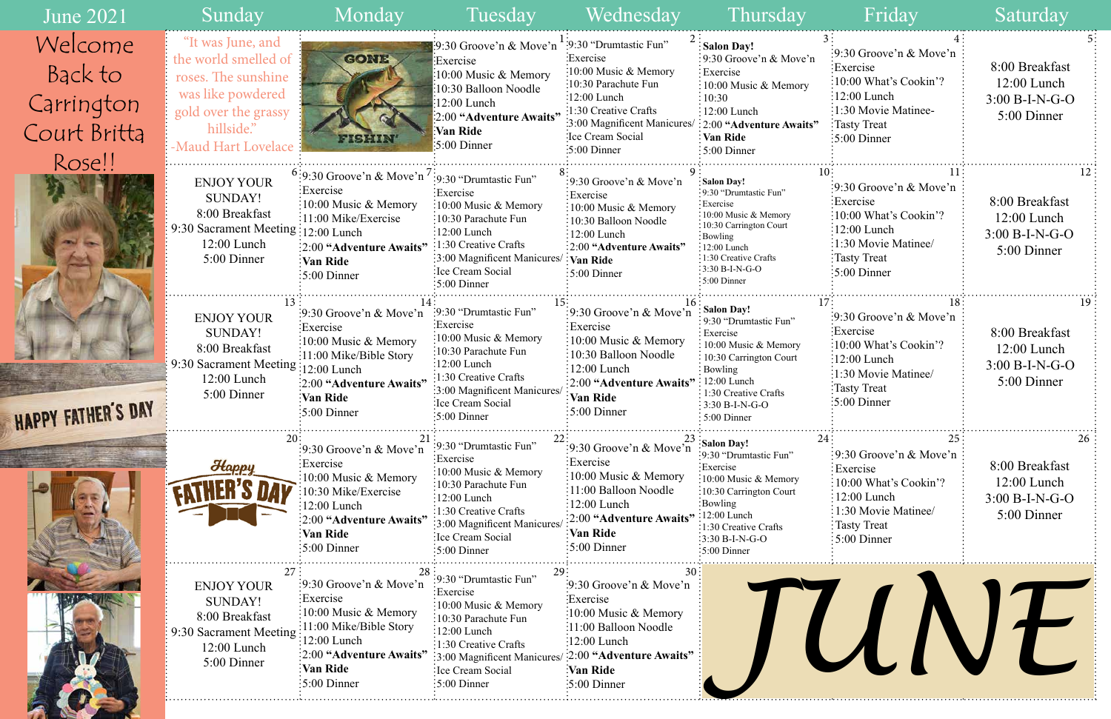## 8:00 Breakfast 12:00 Lunch 3:00 B-I-N-G-O 5:00 Dinner 9:30 Groove'n & Move'n Exercise 10:00 What's Cookin'?  $\frac{1}{2}$ :00 Lunch 1:30 Movie Matinee-Tasty Treat 5:00 Dinner 9:30 Groove'n & Move'n Exercise 10:00 What's Cookin'? 12:00 Lunch 1:30 Movie Matinee/ Tasty Treat 5:00 Dinner 9:30 Groove'n & Move'n Exercise 10:00 What's Cookin'?  $\therefore$ 12:00 Lunch 1:30 Movie Matinee/ Tasty Treat 5:00 Dinner 9:30 Groove'n & Move'n Exercise 10:00 What's Cookin'?  $\frac{12:00 \text{ Lunch}}{2}$ 1:30 Movie Matinee/ Tasty Treat 5:00 Dinner 8:00 Breakfast 12:00 Lunch 3:00 B-I-N-G-O 5:00 Dinner 8:00 Breakfast 12:00 Lunch 3:00 B-I-N-G-O 5:00 Dinner 8:00 Breakfast 12:00 Lunch 3:00 B-I-N-G-O 5:00 Dinner

| <b>June 2021</b>                                           | Sunday                                                                                                                                            | Monday                                                                                                                                                                                                               | Tuesday                                                                                                                                                                                                                                                                      | Wednesday                                                                                                                                                                                              | Thursday                                                                                                                                                                                                               | Friday                                                                                                                                                                          | Saturday                                                           |
|------------------------------------------------------------|---------------------------------------------------------------------------------------------------------------------------------------------------|----------------------------------------------------------------------------------------------------------------------------------------------------------------------------------------------------------------------|------------------------------------------------------------------------------------------------------------------------------------------------------------------------------------------------------------------------------------------------------------------------------|--------------------------------------------------------------------------------------------------------------------------------------------------------------------------------------------------------|------------------------------------------------------------------------------------------------------------------------------------------------------------------------------------------------------------------------|---------------------------------------------------------------------------------------------------------------------------------------------------------------------------------|--------------------------------------------------------------------|
| Welcome<br>Back to<br>Carrington<br>Court Britta<br>Rose!! | "It was June, and<br>the world smelled of<br>roses. The sunshine<br>was like powdered<br>gold over the grassy<br>hillside."<br>Maud Hart Lovelace | <b>GONE</b><br><b>FISHIN'</b>                                                                                                                                                                                        | :9:30 Groove'n & Move'n $\dot{ }$ :9:30 "Drumtastic Fun"<br>Exercise<br>10:00 Music & Memory<br>10:30 Balloon Noodle<br>12:00 Lunch<br>:2:00 "Adventure Awaits"<br>Van Ride<br>$\frac{1}{2}$ :00 Dinner                                                                      | :Exercise<br>:10:00 Music & Memory<br>:10:30 Parachute Fun<br>$:12:00$ Lunch<br>:1:30 Creative Crafts<br>:3:00 Magnificent Manicures/ : 2:00 "Adventure Awaits"<br>:Ice Cream Social<br>$:5:00$ Dinner | <b>Salon Day!</b><br>$\frac{1}{2}$ 9:30 Groove'n & Move'n<br>: Exercise<br>$\frac{1}{2}10:00$ Music & Memory<br>$\frac{1}{2}10:30$<br>$: 12:00$ Lunch<br>$\frac{1}{2}$ Van Ride<br>$:5:00$ Dinner                      | $\frac{1}{2}9:30$ Groove'n & Move'n<br>Exercise<br>:10:00 What's Cookin'?<br>$:12:00$ Lunch<br>:1:30 Movie Matinee-<br>Tasty Treat<br>$\frac{1}{2}$ :00 Dinner                  | 8:00 Breakfast<br>12:00 Lunch<br>3:00 B-I-N-G-O<br>5:00 Dinner     |
|                                                            | <b>ENJOY YOUR</b><br>SUNDAY!<br>8:00 Breakfast<br>9:30 Sacrament Meeting : 12:00 Lunch<br>12:00 Lunch<br>5:00 Dinner                              | $5:9:30$ Groove'n & Move'n $'$<br>:Exercise<br>$\frac{10:00 \text{ Music } \& \text{Memory}}$<br>:11:00 Mike/Exercise<br>:2:00 "Adventure Awaits"<br>Van Ride:<br>$\frac{1}{2}$ 5:00 Dinner                          | :9:30 "Drumtastic Fun"<br>Exercise<br>:10:00 Music & Memory<br>:10:30 Parachute Fun<br>$\frac{1}{2}12:00$ Lunch<br>$\therefore$ 1:30 Creative Crafts<br>$\frac{1}{3}$ :00 Magnificent Manicures/: Van Ride<br>Ice Cream Social<br>$\frac{1}{2}$ :00 Dinner                   | :9:30 Groove'n & Move'n<br>Exercise<br>$\frac{1}{2}10:00$ Music & Memory<br>:10:30 Balloon Noodle<br>$\frac{12:00 \text{ Lunch}}{2}$<br>:2:00 "Adventure Awaits"<br>$\frac{1}{2}$ 5:00 Dinner          | :Salon Day!<br>:9:30 "Drumtastic Fun"<br>: Exercise<br>:10:00 Music & Memory<br>:10:30 Carrington Court<br>$\frac{1}{2}$ Bowling<br>$\div 12:00$ Lunch<br>:1:30 Creative Crafts<br>$:3:30 B-I-N-G-O$<br>$:5:00$ Dinner | $\frac{1}{2}$ 9:30 Groove'n & Move'n<br>Exercise:<br>$\frac{10:00 \text{ What's Cookin}'}{2}$<br>:12:00 Lunch<br>1:30 Movie Matinee/<br>Tasty Treat<br>$\frac{1}{2}$ :00 Dinner | 8:00 Breakfast<br>12:00 Lunch<br>$3:00 B-I-N-G-O$<br>5:00 Dinner   |
| <b>APPY FATHER'S DAY</b>                                   | <b>ENJOY YOUR</b><br><b>SUNDAY!</b><br>8:00 Breakfast<br>9:30 Sacrament Meeting:<br>$12:00$ Lunch<br>5:00 Dinner                                  | :9:30 Groove'n $\&$ Move'n<br>Exercise<br>:10:00 Music $&$ Memory<br>$\frac{1}{2}$ :11:00 Mike/Bible Story<br>:12:00 Lunch<br>:2:00 "Adventure Awaits"<br>Van Ride<br>$\frac{1}{2}5:00$ Dinner                       | :9:30 "Drumtastic Fun"<br>Exercise:<br>$\frac{10:00 \text{ Music } \& \text{Memory}}$<br>:10:30 Parachute Fun<br>$:12:00$ Lunch<br>1:30 Creative Crafts<br>:3:00 Magnificent Manicure<br>:Ice Cream Social<br>$\frac{1}{2}$ 5:00 Dinner                                      | $\frac{1}{2}$ 9:30 Groove'n & Move'n<br>Exercise<br>10:00 Music & Memory<br>10:30 Balloon Noodle<br>12:00 Lunch<br>2:00 "Adventure Awaits"<br>:Van Ride<br>$\frac{1}{2}$ 5:00 Dinner                   | <b>Salon Day!</b><br>: 9:30 "Drumtastic Fun"<br>Exercise<br>: 10:00 Music & Memory<br>10:30 Carrington Court<br>Bowling<br>12:00 Lunch<br>: 1:30 Creative Crafts<br>$\frac{1}{2}$ 3:30 B-I-N-G-O<br>$:5:00$ Dinner     | :9:30 Groove'n $\&$ Move'n<br>:Exercise<br>:10:00 What's Cookin'?<br>$\frac{12:00}{2}$ Lunch<br>1:30 Movie Matinee/<br>Tasty Treat<br>$\frac{1}{2}5:00$ Dinner                  | 8:00 Breakfast<br>12:00 Lunch<br>$3:00 B-I-N-G-O$<br>5:00 Dinner   |
|                                                            | Happy                                                                                                                                             | $\frac{1}{2}$ 9:30 Groove'n & Move'n<br>:Exercise<br>10:00 Music & Memory<br>0:30 Mike/Exercise<br>12:00 Lunch<br>2:00 "Adventure Awaits"<br>Van Ride<br>:5:00 Dinner                                                | :9:30 "Drumtastic Fun"<br>:Exercise<br>10:00 Music & Memory<br>:10:30 Parachute Fun<br>12:00 Lunch<br>:1:30 Creative Crafts<br>3:00 Magnificent Manicures<br>:Ice Cream Social<br>:5:00 Dinner                                                                               | :9:30 Groove'n & Move'n<br>Exercise<br>$\frac{10:00 \text{ Music} \& \text{Memory}}$<br>11:00 Balloon Noodle<br>12:00 Lunch<br>:2:00 "Adventure Awaits"<br>Van Ride<br>$\frac{1}{2}5:00$ Dinner        | $\frac{23}{2}$ : Salon Day!<br>:9:30 "Drumtastic Fun"<br>:Exercise<br>:10:00 Music & Memory<br>:10:30 Carrington Court<br>:Bowling<br>12:00 Lunch<br>:1:30 Creative Crafts<br>:3:30 B-I-N-G-O<br>$:5:00$ Dinner        | :9:30 Groove'n & Move'n<br>Exercise<br>$:10:00$ What's Cookin'?<br>$\frac{1}{2}12:00$ Lunch<br>: 1:30 Movie Matinee/<br>: Tasty Treat<br>$\frac{1}{2}$ 5:00 Dinner              | 8:00 Breakfast<br>$12:00$ Lunch<br>$3:00 B-I-N-G-O$<br>5:00 Dinner |
|                                                            | 27:<br><b>ENJOY YOUR</b><br><b>SUNDAY!</b><br>8:00 Breakfast<br>9:30 Sacrament Meeting<br>12:00 Lunch<br>5:00 Dinner                              | $\frac{1}{2}$ 9:30 Groove'n & Move'n<br>Exercise<br>$\frac{10:00 \text{ Music} \& \text{Memory}}{2}$<br>:11:00 Mike/Bible Story<br>$12:00$ Lunch<br>:2:00 "Adventure Awaits"<br>Van Ride<br>$\frac{1}{2}$ :00 Dinner | :9:30 "Drumtastic Fun"<br>:Exercise<br>$\frac{10:00 \text{ Music} \& \text{Memory}}$<br>10:30 Parachute Fun<br>12:00 Lunch<br>$\frac{1}{2}$ :1:30 Creative Crafts<br>:3:00 Magnificent Manicures/ :2:00 "Adventure Awaits"<br>: Ice Cream Social<br>$\frac{1}{2}$ :00 Dinner | 9:30 Groove'n & Move'n<br>:Exercise<br>$\frac{10:00 \text{ Music } \& \text{Memory}}$<br>:11:00 Balloon Noodle<br>$\frac{1}{2}$ :00 Lunch<br>:Van Ride<br>$\frac{1}{2}$ :00 Dinner                     |                                                                                                                                                                                                                        |                                                                                                                                                                                 |                                                                    |

HA